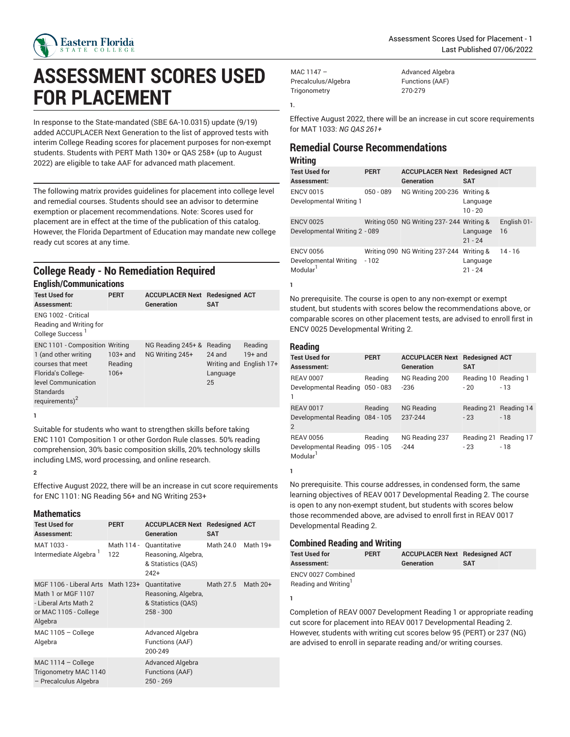

# **ASSESSMENT SCORES USED FOR PLACEMENT**

In response to the State-mandated (SBE 6A-10.0315) update (9/19) added ACCUPLACER Next Generation to the list of approved tests with interim College Reading scores for placement purposes for non-exempt students. Students with PERT Math 130+ or QAS 258+ (up to August 2022) are eligible to take AAF for advanced math placement.

The following matrix provides guidelines for placement into college level and remedial courses. Students should see an advisor to determine exemption or placement recommendations. Note: Scores used for placement are in effect at the time of the publication of this catalog. However, the Florida Department of Education may mandate new college ready cut scores at any time.

# **College Ready - No Remediation Required**

| <b>English/Communications</b>                                                                                                                              |                                 |                                      |                                       |                                                 |  |
|------------------------------------------------------------------------------------------------------------------------------------------------------------|---------------------------------|--------------------------------------|---------------------------------------|-------------------------------------------------|--|
| <b>Test Used for</b><br>Assessment:                                                                                                                        | <b>PERT</b>                     | <b>ACCUPLACER Next</b><br>Generation | <b>Redesigned ACT</b><br><b>SAT</b>   |                                                 |  |
| ENG 1002 - Critical<br>Reading and Writing for<br>College Success <sup>1</sup>                                                                             |                                 |                                      |                                       |                                                 |  |
| ENC 1101 - Composition Writing<br>1 (and other writing<br>courses that meet<br>Florida's College-<br>level Communication<br>Standards<br>requirements) $2$ | $103+$ and<br>Reading<br>$106+$ | NG Reading 245+ &<br>NG Writing 245+ | Reading<br>$24$ and<br>Language<br>25 | Reading<br>$19+$ and<br>Writing and English 17+ |  |

**1**

Suitable for students who want to strengthen skills before taking ENC 1101 Composition 1 or other Gordon Rule classes. 50% reading comprehension, 30% basic composition skills, 20% technology skills including LMS, word processing, and online research.

## **2**

Effective August 2022, there will be an increase in cut score requirements for ENC 1101: NG Reading 56+ and NG Writing 253+

#### **Mathematics**

| <b>Test Used for</b><br>Assessment:                                                                                  | <b>PERT</b>       | <b>ACCUPLACER Next Redesigned ACT</b><br>Generation                      | <b>SAT</b> |            |
|----------------------------------------------------------------------------------------------------------------------|-------------------|--------------------------------------------------------------------------|------------|------------|
| MAT 1033 -<br>Intermediate Algebra                                                                                   | Math 114 -<br>122 | Quantitative<br>Reasoning, Algebra,<br>& Statistics (QAS)<br>$242+$      | Math 24.0  | Math 19+   |
| MGF 1106 - Liberal Arts Math 123+<br>Math 1 or MGF 1107<br>- Liberal Arts Math 2<br>or MAC 1105 - College<br>Algebra |                   | Quantitative<br>Reasoning, Algebra,<br>& Statistics (QAS)<br>$258 - 300$ | Math 27.5  | Math $20+$ |
| $MAC 1105 - College$<br>Algebra                                                                                      |                   | Advanced Algebra<br>Functions (AAF)<br>200-249                           |            |            |
| MAC $1114 -$ College<br>Trigonometry MAC 1140<br>- Precalculus Algebra                                               |                   | <b>Advanced Algebra</b><br>Functions (AAF)<br>$250 - 269$                |            |            |

MAC 1147 – Precalculus/Algebra **Trigonometry** 

Advanced Algebra Functions (AAF) 270-279

Effective August 2022, there will be an increase in cut score requirements for MAT 1033: *NG QAS 261+*

# **Remedial Course Recommendations**

# **Writing**

**1.**

| .                                                                 |             |                                                     |                                    |                   |
|-------------------------------------------------------------------|-------------|-----------------------------------------------------|------------------------------------|-------------------|
| <b>Test Used for</b><br>Assessment:                               | <b>PERT</b> | <b>ACCUPLACER Next Redesigned ACT</b><br>Generation | <b>SAT</b>                         |                   |
| <b>ENCV 0015</b><br>Developmental Writing 1                       | $050 - 089$ | NG Writing 200-236 Writing &                        | Language<br>$10 - 20$              |                   |
| <b>ENCV 0025</b><br>Developmental Writing 2 - 089                 |             | Writing 050 NG Writing 237-244 Writing &            | Language<br>$21 - 24$              | English 01-<br>16 |
| <b>ENCV 0056</b><br>Developmental Writing<br>Modular <sup>1</sup> | $-102$      | Writing 090 NG Writing 237-244                      | Writing &<br>Language<br>$21 - 24$ | $14 - 16$         |

**1**

No prerequisite. The course is open to any non-exempt or exempt student, but students with scores below the recommendations above, or comparable scores on other placement tests, are advised to enroll first in ENCV 0025 Developmental Writing 2.

#### **Reading**

| <b>Test Used for</b><br>Assessment:                                         | <b>PERT</b>            | <b>ACCUPLACER Next</b><br>Generation | <b>Redesigned ACT</b><br><b>SAT</b> |                                |
|-----------------------------------------------------------------------------|------------------------|--------------------------------------|-------------------------------------|--------------------------------|
| <b>REAV 0007</b><br>Developmental Reading<br>1                              | Reading<br>$050 - 083$ | NG Reading 200<br>$-236$             | Reading 10 Reading 1<br>$-20$       | $-13$                          |
| <b>REAV 0017</b><br>Developmental Reading 084 - 105<br>$\overline{2}$       | Reading                | <b>NG Reading</b><br>237-244         | $-23$                               | Reading 21 Reading 14<br>$-18$ |
| <b>REAV 0056</b><br>Developmental Reading 095 - 105<br>Modular <sup>1</sup> | Reading                | NG Reading 237<br>$-244$             | Reading 21 Reading 17<br>$-23$      | $-18$                          |

**1**

No prerequisite. This course addresses, in condensed form, the same learning objectives of REAV 0017 Developmental Reading 2. The course is open to any non-exempt student, but students with scores below those recommended above, are advised to enroll first in REAV 0017 Developmental Reading 2.

## **Combined Reading and Writing**

| <b>Test Used for</b>             | <b>PERT</b> | <b>ACCUPLACER Next Redesigned ACT</b> |            |
|----------------------------------|-------------|---------------------------------------|------------|
| Assessment:                      |             | Generation                            | <b>SAT</b> |
| ENCV 0027 Combined               |             |                                       |            |
| Reading and Writing <sup>1</sup> |             |                                       |            |

**1**

Completion of REAV 0007 Development Reading 1 or appropriate reading cut score for placement into REAV 0017 Developmental Reading 2. However, students with writing cut scores below 95 (PERT) or 237 (NG) are advised to enroll in separate reading and/or writing courses.